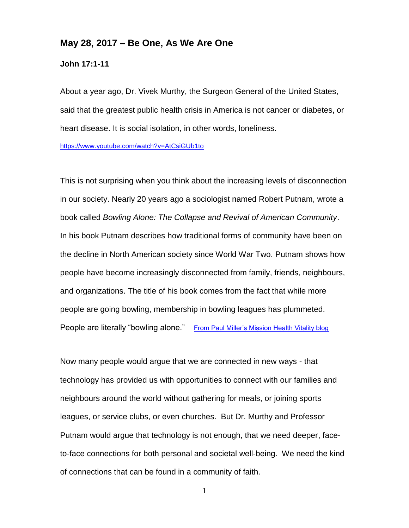## **May 28, 2017 – Be One, As We Are One**

**John 17:1-11**

About a year ago, Dr. Vivek Murthy, the Surgeon General of the United States, said that the greatest public health crisis in America is not cancer or diabetes, or heart disease. It is social isolation, in other words, loneliness.

<https://www.youtube.com/watch?v=AtCsiGUb1to>

This is not surprising when you think about the increasing levels of disconnection in our society. Nearly 20 years ago a sociologist named Robert Putnam, wrote a book called *Bowling Alone: The Collapse and Revival of American Community*. In his book Putnam describes how traditional forms of community have been on the decline in North American society since World War Two. Putnam shows how people have become increasingly disconnected from family, friends, neighbours, and organizations. The title of his book comes from the fact that while more people are going bowling, membership in bowling leagues has plummeted. People are literally "bowling alone." [From Paul Miller's Mission Health Vitality blog](http://waterloopres.blogspot.ca/2016/09/binding-and-bridging.html?utm_source=E-Newsletters&utm_campaign=3673b50fbe-ETS_170517&utm_medium=email&utm_term=0_53a49c9e28-3673b50fbe-159528973)

Now many people would argue that we are connected in new ways - that technology has provided us with opportunities to connect with our families and neighbours around the world without gathering for meals, or joining sports leagues, or service clubs, or even churches. But Dr. Murthy and Professor Putnam would argue that technology is not enough, that we need deeper, faceto-face connections for both personal and societal well-being. We need the kind of connections that can be found in a community of faith.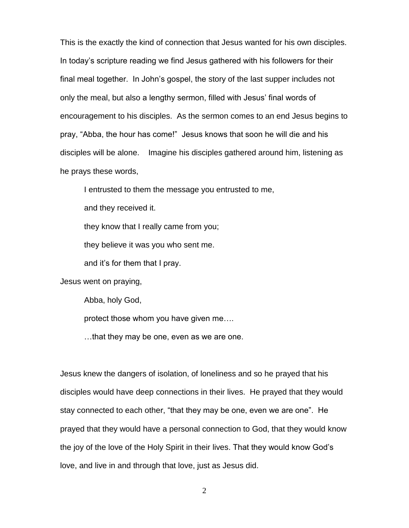This is the exactly the kind of connection that Jesus wanted for his own disciples. In today's scripture reading we find Jesus gathered with his followers for their final meal together. In John's gospel, the story of the last supper includes not only the meal, but also a lengthy sermon, filled with Jesus' final words of encouragement to his disciples. As the sermon comes to an end Jesus begins to pray, "Abba, the hour has come!" Jesus knows that soon he will die and his disciples will be alone. Imagine his disciples gathered around him, listening as he prays these words,

I entrusted to them the message you entrusted to me,

and they received it.

they know that I really came from you;

they believe it was you who sent me.

and it's for them that I pray.

Jesus went on praying,

Abba, holy God,

protect those whom you have given me….

…that they may be one, even as we are one.

Jesus knew the dangers of isolation, of loneliness and so he prayed that his disciples would have deep connections in their lives. He prayed that they would stay connected to each other, "that they may be one, even we are one". He prayed that they would have a personal connection to God, that they would know the joy of the love of the Holy Spirit in their lives. That they would know God's love, and live in and through that love, just as Jesus did.

2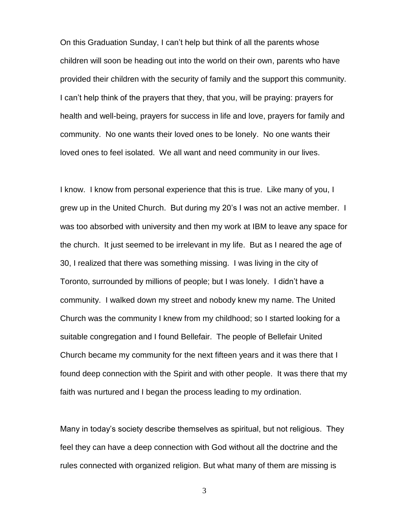On this Graduation Sunday, I can't help but think of all the parents whose children will soon be heading out into the world on their own, parents who have provided their children with the security of family and the support this community. I can't help think of the prayers that they, that you, will be praying: prayers for health and well-being, prayers for success in life and love, prayers for family and community. No one wants their loved ones to be lonely. No one wants their loved ones to feel isolated. We all want and need community in our lives.

I know. I know from personal experience that this is true. Like many of you, I grew up in the United Church. But during my 20's I was not an active member. I was too absorbed with university and then my work at IBM to leave any space for the church. It just seemed to be irrelevant in my life. But as I neared the age of 30, I realized that there was something missing. I was living in the city of Toronto, surrounded by millions of people; but I was lonely. I didn't have a community. I walked down my street and nobody knew my name. The United Church was the community I knew from my childhood; so I started looking for a suitable congregation and I found Bellefair. The people of Bellefair United Church became my community for the next fifteen years and it was there that I found deep connection with the Spirit and with other people. It was there that my faith was nurtured and I began the process leading to my ordination.

Many in today's society describe themselves as spiritual, but not religious. They feel they can have a deep connection with God without all the doctrine and the rules connected with organized religion. But what many of them are missing is

3